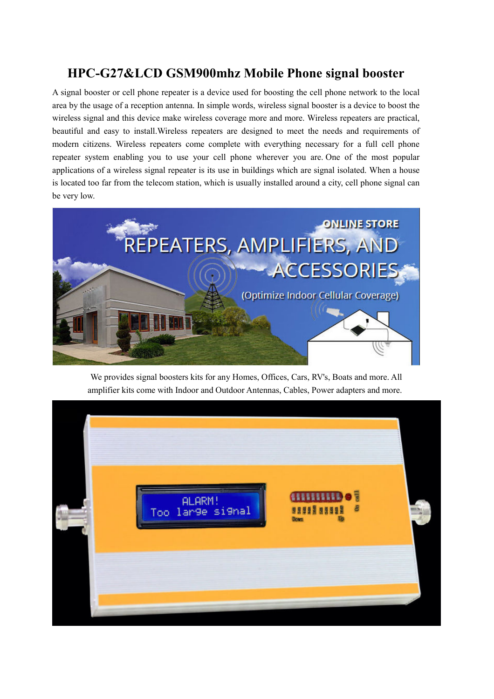### **HPC-G27&LCD GSM900mhz Mobile Phone signal booster**

A signal booster or cell phone repeater is a device used for boosting the cell phone network to the local area by the usage of a reception antenna. In simple words, wireless signal booster is a device to boost the wireless signal and this device make wireless coverage more and more. Wireless repeaters are practical, beautiful and easy to install.Wireless repeaters are designed to meet the needs and requirements of modern citizens. Wireless repeaters come complete with everything necessary for a full cell phone repeater system enabling you to use your cell phone wherever you are. One of the most popular applications of a wireless signal repeater is its use in buildings which are signal isolated. When a house is located too far from the telecom station, which is usually installed around a city, cell phone signal can be very low.



We provides signal boosters kits for any Homes, Offices, Cars, RV's, Boats and more. All amplifier kits come with Indoor and Outdoor Antennas, Cables, Power adapters and more.

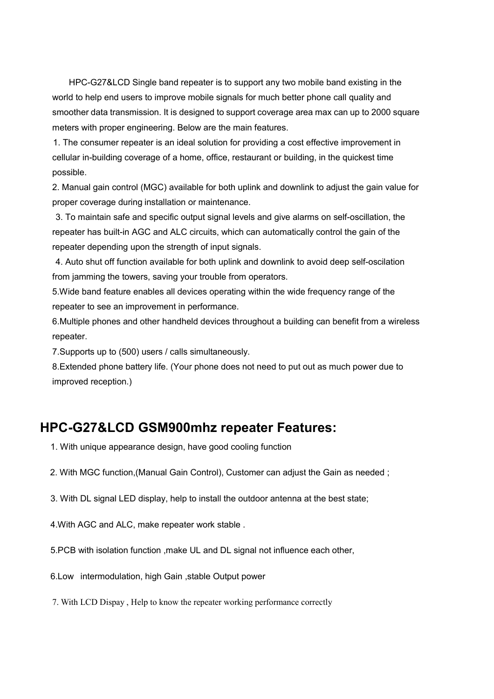HPC-G27&LCD Single band repeater is to support any two mobile band existing in the world to help end users to improve mobile signals for much better phone call quality and smoother data transmission. It is designed to support coverage area max can up to 2000 square meters with proper engineering. Below are the main features.

 1. The consumer repeater is an ideal solution for providing a cost effective improvement in cellular in-building coverage of a home, office, restaurant or building, in the quickest time possible.

2. Manual gain control (MGC) available for both uplink and downlink to adjust the gain value for proper coverage during installation or maintenance.

 3. To maintain safe and specific output signal levels and give alarms on self-oscillation, the repeater has built-in AGC and ALC circuits, which can automatically control the gain of the repeater depending upon the strength of input signals.

 4. Auto shut off function available for both uplink and downlink to avoid deep self-oscilation from jamming the towers, saving your trouble from operators.

5.Wide band feature enables all devices operating within the wide frequency range of the repeater to see an improvement in performance.

6.Multiple phones and other handheld devices throughout a building can benefit from a wireless repeater.

7.Supports up to (500) users / calls simultaneously.

8.Extended phone battery life. (Your phone does not need to put out as much power due to improved reception.)

### **HPC-G27&LCD GSM900mhz repeater Features:**

- 1. With unique appearance design, have good cooling function
- 2. With MGC function,(Manual Gain Control), Customer can adjust the Gain as needed ;
- 3. With DL signal LED display, help to install the outdoor antenna at the best state;
- 4.With AGC and ALC, make repeater work stable .
- 5.PCB with isolation function ,make UL and DL signal not influence each other,
- 6.Low intermodulation, high Gain ,stable Output power
- 7. With LCD Dispay , Help to know the repeater working performance correctly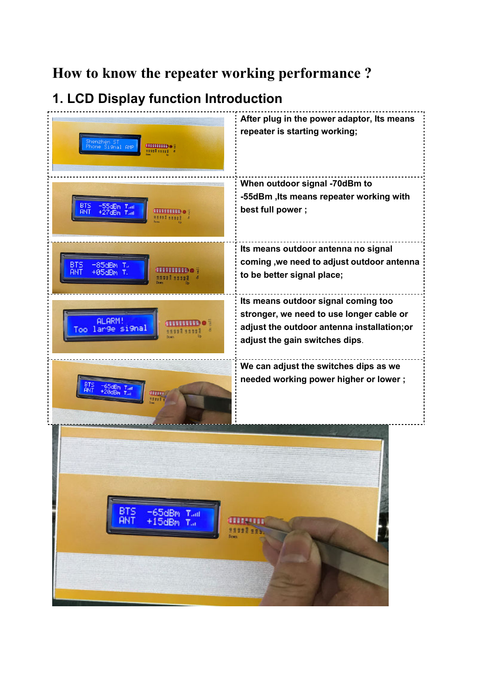# **How to know the repeater working performance ?**

# **1. LCD Display function Introduction**

| Ghenzhen ST<br><sup>Y</sup> hone Signal AMP<br>uninibe<br>98992 9999} | After plug in the power adaptor, Its means<br>repeater is starting working;                                                                                      |
|-----------------------------------------------------------------------|------------------------------------------------------------------------------------------------------------------------------------------------------------------|
| 81 S<br>пиниро<br>ANT<br>98992 58993                                  | When outdoor signal -70dBm to<br>-55dBm, Its means repeater working with<br>best full power;                                                                     |
| $-85dBm$ $T_{\rm H}$<br>BTS<br>,,,,,,<br>ЯNТ<br>+05dBn                | Its means outdoor antenna no signal<br>coming , we need to adjust outdoor antenna<br>to be better signal place;                                                  |
| <b>ALARM</b><br>Too large signal                                      | Its means outdoor signal coming too<br>stronger, we need to use longer cable or<br>adjust the outdoor antenna installation; or<br>adjust the gain switches dips. |
| 65dBm Tail<br>20dBm Tail<br>ann                                       | We can adjust the switches dips as we<br>needed working power higher or lower;                                                                                   |
| <b>BTS</b><br>-65dBm Tail<br><b>ANT</b><br>$+15$ dBm $T_{\text{eff}}$ | <b>CHILLETTE</b><br>99998995.<br><b>Bown</b>                                                                                                                     |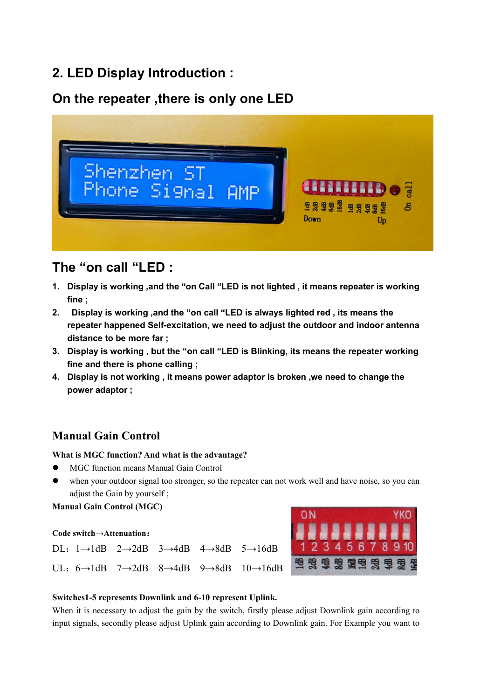### **2. LED Display Introduction :**

## **On the repeater ,there is only one LED**



# **The "on call "LED :**

- **1. Display is working ,and the "on Call "LED is not lighted , it means repeater is working fine ;**
- **2. Display is working ,and the "on call "LED is always lighted red , its means the repeater happened Self-excitation, we need to adjust the outdoor and indoor antenna distance to be more far ;**
- **3. Display is working , but the "on call "LED is Blinking, its means the repeater working fine and there is phone calling ;**
- **4. Display is not working , it means power adaptor is broken ,we need to change the power adaptor ;**

### **Manual Gain Control**

#### **What is MGC function? And what is the advantage?**

- MGC function means Manual Gain Control
- when your outdoor signal too stronger, so the repeater can not work well and have noise, so you can adjust the Gain by yourself ;

**Manual Gain Control (MGC)** 

#### **Code switch→Attenuation**:





#### **Switches1-5 represents Downlink and 6-10 represent Uplink.**

When it is necessary to adjust the gain by the switch, firstly please adjust Downlink gain according to input signals, secondly please adjust Uplink gain according to Downlink gain. For Example you want to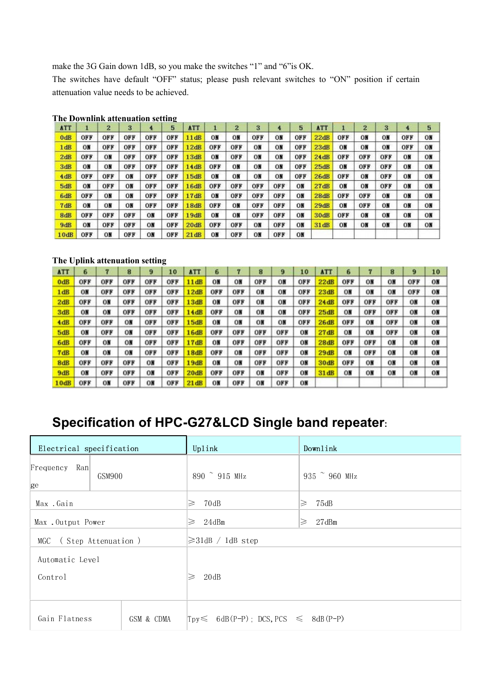make the 3G Gain down 1dB, so you make the switches "1" and "6"is OK.

The switches have default "OFF" status; please push relevant switches to "ON" position if certain attenuation value needs to be achieved.

| <b>ATT</b> |     | $\mathbf{2}$ | 3   | 4.  | 5   | <b>ATT</b> |     | $\overline{2}$ | 3   | 4   | 5   | <b>ATT</b>  |                | $\overline{2}$ | 3   | 4   | 5  |
|------------|-----|--------------|-----|-----|-----|------------|-----|----------------|-----|-----|-----|-------------|----------------|----------------|-----|-----|----|
| 0dB        | OFF | OFF          | OFF | OFF | OFF | 11dB       | ON  | ON             | OFF | ON  | OFF | 22dB        | OFF            | OH             | ON  | OFF | ON |
| 1 dB       | ОN  | OFF          | OFF | OFF | OFF | 12dB       | OFF | OFF            | ON  | ON  | OFF | 23dB        | OH             | ON             | ON  | OFF | ON |
| 2dB        | OFF | ON           | OFF | OFF | OFF | 13dB       | ON  | OFF            | ОN  | ON  | OFF | 24dB        | OFF            | OFF            | OFF | ON  | ON |
| 3dB        | ON  | ON           | OFF | OFF | OFF | 14dB       | OFF | ON             | ОN  | ON  | OFF | 25dB        | O <sub>H</sub> | OFF            | OFF | ON  | ON |
| 4dB        | OFF | OFF          | ON  | OFF | OFF | 15dB       | ON  | ON             | ON  | ON  | OFF | 26dB        | OFF            | ON             | OFF | ON  | ON |
| 5dB        | ON  | OFF          | ON  | OFF | OFF | 16dB       | OFF | OFF            | OFF | OFF | ON  | 27dB        | ON             | ON             | OFF | ON  | ON |
| 6dB        | OFF | ON           | ON  | OFF | OFF | 17dB       | ON  | OFF            | OFF | OFF | ON  | 28dB        | OFF            | OFF            | ON  | ON  | ON |
| 7dB        | ON  | ON           | ON  | OFF | OFF | 18dB       | OFF | ON             | OFF | OFF | ON  | 29dB        | ON             | OFF            | ON  | ON  | ON |
| 8dB        | OFF | OFF          | OFF | ON  | OFF | 19dB       | ON  | ON             | OFF | OFF | ON  | <b>30dB</b> | OFF            | ON             | ON  | ON  | ON |
| 9dB        | ON  | OFF          | OFF | ON  | OFF | 20dB       | OFF | OFF            | ON  | OFF | ON  | 31 dB       | ON             | ON             | ON  | ON  | ON |
| 10dB       | OFF | ON           | OFF | ON  | OFF | 21dB       | ΟN  | OFF            | ON  | OFF | ON  |             |                |                |     |     |    |

**The Downlink attenuation setting** 

#### **The Uplink attenuation setting**

| <b>ATT</b> | 6   | 7   | 8   | 9   | 10  | <b>ATT</b> | 6   |     | 8     | 9              | 10  | <b>ATT</b>  | 6   | 7   | 8              | 9   | 10 |
|------------|-----|-----|-----|-----|-----|------------|-----|-----|-------|----------------|-----|-------------|-----|-----|----------------|-----|----|
| 0dB        | OFF | OFF | OFF | OFF | OFF | 11dB       | ON  | ON  | OFF   | ON             | OFF | 22dB        | OFF | ON  | ON             | OFF | ON |
| 1dB        | ON  | OFF | OFF | OFF | OFF | 12dB       | OFF | OFF | ON    | ON             | OFF | 23dB        | ON  | ON  | ON             | OFF | ON |
| 2dB        | OFF | ON  | OFF | OFF | OFF | 13dB       | ОN  | OFF | $0$ H | ON             | OFF | 24dB        | OFF | OFF | OFF            | OH  | OB |
| 3dB        | ON  | ON  | OFF | OFF | OFF | 14dB       | OFF | ON  | ON    | ON             | OFF | 25dB        | ON  | OFF | OFF            | ON  | ON |
| 4dB        | OFF | OFF | ON  | OFF | OFF | 15dB       | ОN  | ОN  | ОN    | 0 <sub>h</sub> | OFF | 26dB        | OFF | ОN  | OFF            | ON  | ON |
| 5dB        | ON  | OFF | ОN  | OFF | OFF | l 6dB      | OFF | OFF | OFF   | OFF            | ON  | 27dB        | ON  | ON  | OFF            | ON  | ON |
| 6dB        | OFF | ON  | ON  | OFF | OFF | 17dB       | ОN  | OFF | OFF   | OFF            | ON  | <b>28dB</b> | OFF | OFF | OМ             | ON  | ON |
| 7dB        | ON  | ON  | ОN  | OFF | OFF | 18dB       | OFF | ON  | OFF   | OFF            | ON  | 29dB        | ON  | OFF | O <sub>H</sub> | ON  | ON |
| 8dB        | OFF | OFF | OFF | ON  | OFF | 19dB       | ON  | ON  | OFF   | OFF            | ON  | <b>30dB</b> | OFF | ON  | ON             | ON  | ON |
| 9dB        | ON  | OFF | OFF | ON  | OFF | 20dB       | OFF | OFF | ON    | OFF            | ON  | 31dB        | ON  | ON  | ON             | ON  | ON |
| 10dB       | OFF | ΟN  | OFF | ON  | OFF | 21 dB      | ОN  | OFF | OН    | OFF            | ON  |             |     |     |                |     |    |

# **Specification of HPC-G27&LCD Single band repeater:**

|                             | Electrical specification |        | Uplink              |                                                 | Downlink          |  |  |  |  |
|-----------------------------|--------------------------|--------|---------------------|-------------------------------------------------|-------------------|--|--|--|--|
|                             | Ran<br>Frequency<br>ge   | GSM900 | 890 ~ 915 MHz       |                                                 | 935 ~ 960 MHz     |  |  |  |  |
|                             | Max .Gain                |        | 70dB<br>$\geq$      |                                                 | $\geqslant$ 75dB  |  |  |  |  |
|                             | Max . Output Power       |        | 24dBm<br>$\geq$     |                                                 | $\geqslant$ 27dBm |  |  |  |  |
|                             | MGC (Step Attenuation)   |        |                     | $\geq 31$ dB / 1dB step                         |                   |  |  |  |  |
|                             | Automatic Level          |        |                     |                                                 |                   |  |  |  |  |
|                             | Control                  |        | 20dB<br>$\geqslant$ |                                                 |                   |  |  |  |  |
|                             |                          |        |                     |                                                 |                   |  |  |  |  |
| Gain Flatness<br>GSM & CDMA |                          |        |                     | $ Tpy \leq 6dB(P-P)$ ; DCS, PCS $\leq 8dB(P-P)$ |                   |  |  |  |  |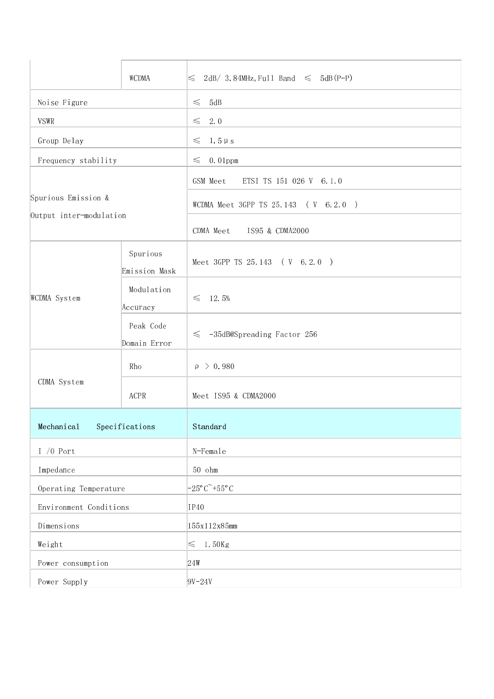|                                                | WCDMA                     | $2dB/3.84MHz$ , Full Band $\leq 5dB(P-P)$<br>$\leq$           |  |  |  |  |
|------------------------------------------------|---------------------------|---------------------------------------------------------------|--|--|--|--|
| Noise Figure                                   |                           | $\leq$<br>5dB                                                 |  |  |  |  |
| <b>VSWR</b>                                    |                           | 2.0<br>$\leq$                                                 |  |  |  |  |
| Group Delay                                    |                           | $1.5 \mu s$<br>$\leq$                                         |  |  |  |  |
| Frequency stability                            |                           | $0.01$ ppm<br>$\leq$                                          |  |  |  |  |
|                                                |                           | GSM Meet<br>ETSI TS 151 026 V 6.1.0                           |  |  |  |  |
| Spurious Emission &<br>Output inter-modulation |                           | WCDMA Meet 3GPP TS 25.143 (V 6.2.0)                           |  |  |  |  |
|                                                |                           | CDMA Meet IS95 & CDMA2000                                     |  |  |  |  |
|                                                | Spurious<br>Emission Mask | Meet 3GPP TS 25.143 (V 6.2.0)                                 |  |  |  |  |
| WCDMA System                                   | Modulation<br>Accuracy    | 12.5%<br>$\leq$                                               |  |  |  |  |
|                                                | Peak Code<br>Domain Error | $\leq$ -35dB@Spreading Factor 256                             |  |  |  |  |
|                                                | Rho                       | $\rho > 0.980$                                                |  |  |  |  |
| CDMA System                                    | ACPR                      | Meet IS95 & CDMA2000                                          |  |  |  |  |
| Mechanical                                     | Specifications            | Standard                                                      |  |  |  |  |
| $1/0$ Port                                     |                           | N-Female                                                      |  |  |  |  |
| Impedance                                      |                           | $50$ ohm                                                      |  |  |  |  |
| Operating Temperature                          |                           | $-25^{\circ}$ C <sup><math>\sim</math></sup> +55 $^{\circ}$ C |  |  |  |  |
| Environment Conditions                         |                           | IP40                                                          |  |  |  |  |
| Dimensions                                     |                           | 155x112x85mm                                                  |  |  |  |  |
| Weight                                         |                           | 1.50Kg<br>$\leq$                                              |  |  |  |  |
| Power consumption                              |                           | 24W                                                           |  |  |  |  |
| Power Supply                                   |                           | $9V - 24V$                                                    |  |  |  |  |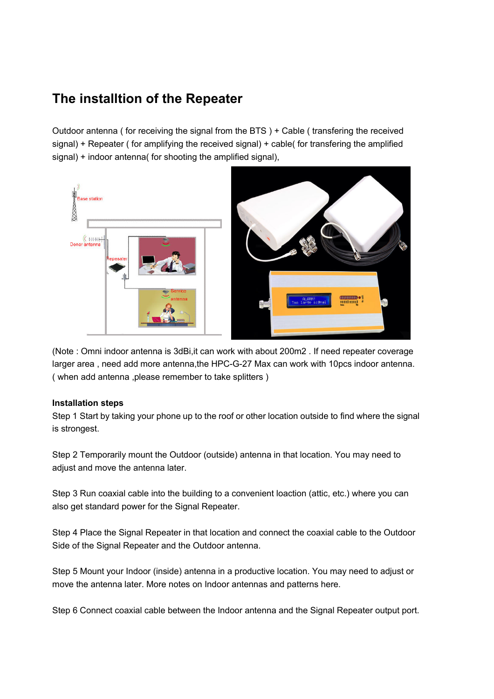## **The installtion of the Repeater**

Outdoor antenna ( for receiving the signal from the BTS ) + Cable ( transfering the received signal) + Repeater ( for amplifying the received signal) + cable( for transfering the amplified signal) + indoor antenna( for shooting the amplified signal),



(Note : Omni indoor antenna is 3dBi,it can work with about 200m2 . If need repeater coverage larger area , need add more antenna,the HPC-G-27 Max can work with 10pcs indoor antenna. ( when add antenna ,please remember to take splitters )

#### **Installation steps**

Step 1 Start by taking your phone up to the roof or other location outside to find where the signal is strongest.

Step 2 Temporarily mount the Outdoor (outside) antenna in that location. You may need to adjust and move the antenna later.

Step 3 Run coaxial cable into the building to a convenient loaction (attic, etc.) where you can also get standard power for the Signal Repeater.

Step 4 Place the Signal Repeater in that location and connect the coaxial cable to the Outdoor Side of the Signal Repeater and the Outdoor antenna.

Step 5 Mount your Indoor (inside) antenna in a productive location. You may need to adjust or move the antenna later. More notes on Indoor antennas and patterns here.

Step 6 Connect coaxial cable between the Indoor antenna and the Signal Repeater output port.